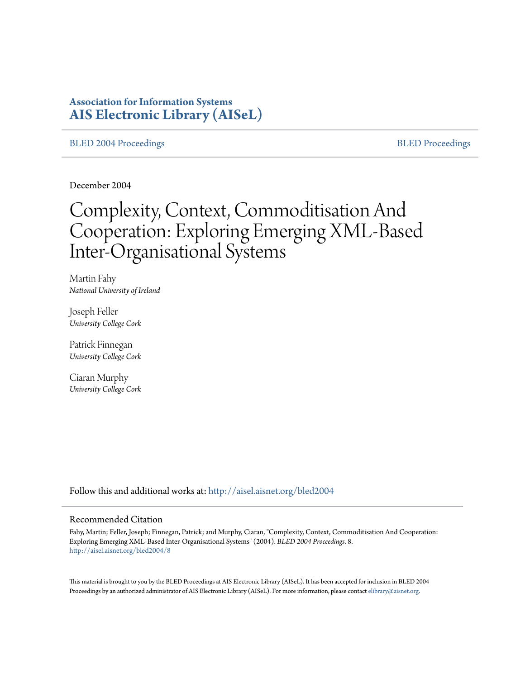# **Association for Information Systems [AIS Electronic Library \(AISeL\)](http://aisel.aisnet.org?utm_source=aisel.aisnet.org%2Fbled2004%2F8&utm_medium=PDF&utm_campaign=PDFCoverPages)**

### [BLED 2004 Proceedings](http://aisel.aisnet.org/bled2004?utm_source=aisel.aisnet.org%2Fbled2004%2F8&utm_medium=PDF&utm_campaign=PDFCoverPages) and the state of the state of the [BLED Proceedings](http://aisel.aisnet.org/bled?utm_source=aisel.aisnet.org%2Fbled2004%2F8&utm_medium=PDF&utm_campaign=PDFCoverPages) and the BLED Proceedings and the BLED Proceedings and the BLED Proceedings and the BLED Proceedings and the BLED Proceedings and the BLED Proceedings

December 2004

# Complexity, Context, Commoditisation And Cooperation: Exploring Emerging XML-Based Inter-Organisational Systems

Martin Fahy *National University of Ireland*

Joseph Feller *University College Cork*

Patrick Finnegan *University College Cork*

Ciaran Murphy *University College Cork*

Follow this and additional works at: [http://aisel.aisnet.org/bled2004](http://aisel.aisnet.org/bled2004?utm_source=aisel.aisnet.org%2Fbled2004%2F8&utm_medium=PDF&utm_campaign=PDFCoverPages)

#### Recommended Citation

Fahy, Martin; Feller, Joseph; Finnegan, Patrick; and Murphy, Ciaran, "Complexity, Context, Commoditisation And Cooperation: Exploring Emerging XML-Based Inter-Organisational Systems" (2004). *BLED 2004 Proceedings*. 8. [http://aisel.aisnet.org/bled2004/8](http://aisel.aisnet.org/bled2004/8?utm_source=aisel.aisnet.org%2Fbled2004%2F8&utm_medium=PDF&utm_campaign=PDFCoverPages)

This material is brought to you by the BLED Proceedings at AIS Electronic Library (AISeL). It has been accepted for inclusion in BLED 2004 Proceedings by an authorized administrator of AIS Electronic Library (AISeL). For more information, please contact [elibrary@aisnet.org](mailto:elibrary@aisnet.org%3E).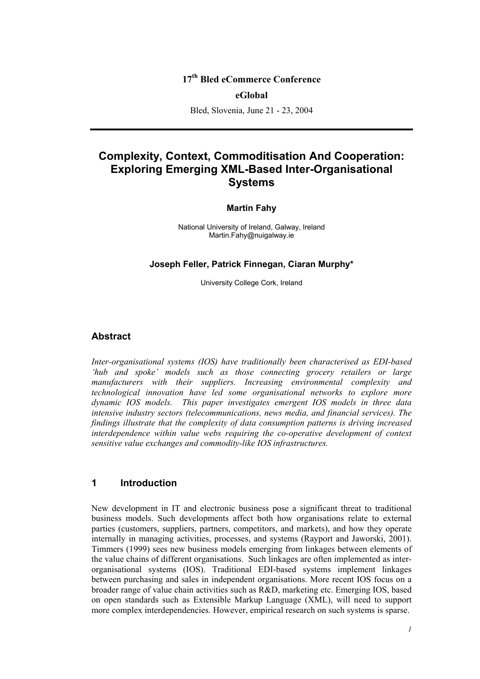# **17th Bled eCommerce Conference**

#### **eGlobal**

Bled, Slovenia, June 21 - 23, 2004

# **Complexity, Context, Commoditisation And Cooperation: Exploring Emerging XML-Based Inter-Organisational Systems**

#### **Martin Fahy**

National University of Ireland, Galway, Ireland Martin.Fahy@nuigalway.ie

**Joseph Feller, Patrick Finnegan, Ciaran Murphy\*** 

University College Cork, Ireland

## **Abstract**

*Inter-organisational systems (IOS) have traditionally been characterised as EDI-based 'hub and spoke' models such as those connecting grocery retailers or large manufacturers with their suppliers. Increasing environmental complexity and technological innovation have led some organisational networks to explore more dynamic IOS models. This paper investigates emergent IOS models in three data intensive industry sectors (telecommunications, news media, and financial services). The findings illustrate that the complexity of data consumption patterns is driving increased interdependence within value webs requiring the co-operative development of context sensitive value exchanges and commodity-like IOS infrastructures.* 

## **1 Introduction**

New development in IT and electronic business pose a significant threat to traditional business models. Such developments affect both how organisations relate to external parties (customers, suppliers, partners, competitors, and markets), and how they operate internally in managing activities, processes, and systems (Rayport and Jaworski, 2001). Timmers (1999) sees new business models emerging from linkages between elements of the value chains of different organisations. Such linkages are often implemented as interorganisational systems (IOS). Traditional EDI-based systems implement linkages between purchasing and sales in independent organisations. More recent IOS focus on a broader range of value chain activities such as R&D, marketing etc. Emerging IOS, based on open standards such as Extensible Markup Language (XML), will need to support more complex interdependencies. However, empirical research on such systems is sparse.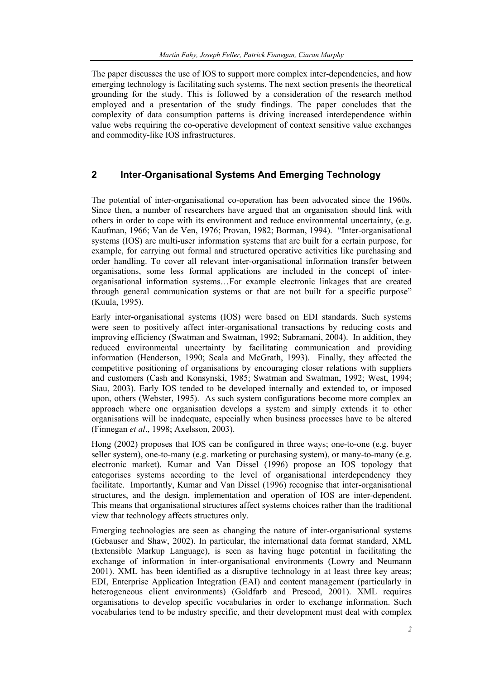The paper discusses the use of IOS to support more complex inter-dependencies, and how emerging technology is facilitating such systems. The next section presents the theoretical grounding for the study. This is followed by a consideration of the research method employed and a presentation of the study findings. The paper concludes that the complexity of data consumption patterns is driving increased interdependence within value webs requiring the co-operative development of context sensitive value exchanges and commodity-like IOS infrastructures.

# **2 Inter-Organisational Systems And Emerging Technology**

The potential of inter-organisational co-operation has been advocated since the 1960s. Since then, a number of researchers have argued that an organisation should link with others in order to cope with its environment and reduce environmental uncertainty, (e.g. Kaufman, 1966; Van de Ven, 1976; Provan, 1982; Borman, 1994). "Inter-organisational systems (IOS) are multi-user information systems that are built for a certain purpose, for example, for carrying out formal and structured operative activities like purchasing and order handling. To cover all relevant inter-organisational information transfer between organisations, some less formal applications are included in the concept of interorganisational information systems…For example electronic linkages that are created through general communication systems or that are not built for a specific purpose" (Kuula, 1995).

Early inter-organisational systems (IOS) were based on EDI standards. Such systems were seen to positively affect inter-organisational transactions by reducing costs and improving efficiency (Swatman and Swatman, 1992; Subramani, 2004). In addition, they reduced environmental uncertainty by facilitating communication and providing information (Henderson, 1990; Scala and McGrath, 1993). Finally, they affected the competitive positioning of organisations by encouraging closer relations with suppliers and customers (Cash and Konsynski, 1985; Swatman and Swatman, 1992; West, 1994; Siau, 2003). Early IOS tended to be developed internally and extended to, or imposed upon, others (Webster, 1995). As such system configurations become more complex an approach where one organisation develops a system and simply extends it to other organisations will be inadequate, especially when business processes have to be altered (Finnegan *et al*., 1998; Axelsson, 2003).

Hong (2002) proposes that IOS can be configured in three ways; one-to-one (e.g. buyer seller system), one-to-many (e.g. marketing or purchasing system), or many-to-many (e.g. electronic market). Kumar and Van Dissel (1996) propose an IOS topology that categorises systems according to the level of organisational interdependency they facilitate. Importantly, Kumar and Van Dissel (1996) recognise that inter-organisational structures, and the design, implementation and operation of IOS are inter-dependent. This means that organisational structures affect systems choices rather than the traditional view that technology affects structures only.

Emerging technologies are seen as changing the nature of inter-organisational systems (Gebauser and Shaw, 2002). In particular, the international data format standard, XML (Extensible Markup Language), is seen as having huge potential in facilitating the exchange of information in inter-organisational environments (Lowry and Neumann 2001). XML has been identified as a disruptive technology in at least three key areas; EDI, Enterprise Application Integration (EAI) and content management (particularly in heterogeneous client environments) (Goldfarb and Prescod, 2001). XML requires organisations to develop specific vocabularies in order to exchange information. Such vocabularies tend to be industry specific, and their development must deal with complex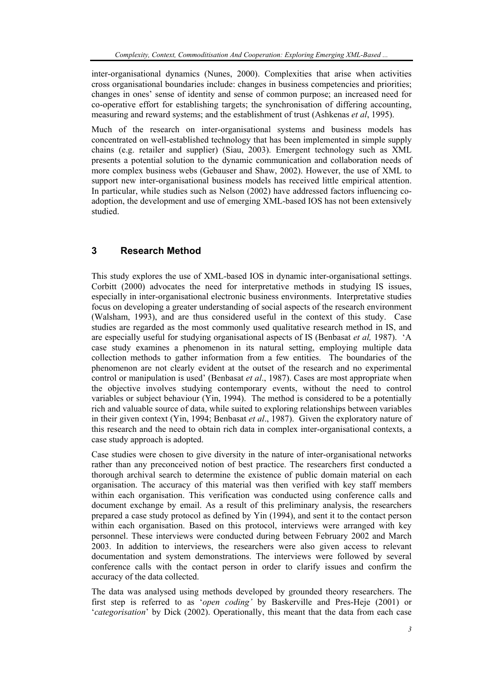inter-organisational dynamics (Nunes, 2000). Complexities that arise when activities cross organisational boundaries include: changes in business competencies and priorities; changes in ones' sense of identity and sense of common purpose; an increased need for co-operative effort for establishing targets; the synchronisation of differing accounting, measuring and reward systems; and the establishment of trust (Ashkenas *et al*, 1995).

Much of the research on inter-organisational systems and business models has concentrated on well-established technology that has been implemented in simple supply chains (e.g. retailer and supplier) (Siau, 2003). Emergent technology such as XML presents a potential solution to the dynamic communication and collaboration needs of more complex business webs (Gebauser and Shaw, 2002). However, the use of XML to support new inter-organisational business models has received little empirical attention. In particular, while studies such as Nelson (2002) have addressed factors influencing coadoption, the development and use of emerging XML-based IOS has not been extensively studied.

# **3 Research Method**

This study explores the use of XML-based IOS in dynamic inter-organisational settings. Corbitt (2000) advocates the need for interpretative methods in studying IS issues, especially in inter-organisational electronic business environments. Interpretative studies focus on developing a greater understanding of social aspects of the research environment (Walsham, 1993), and are thus considered useful in the context of this study. Case studies are regarded as the most commonly used qualitative research method in IS, and are especially useful for studying organisational aspects of IS (Benbasat *et al,* 1987). 'A case study examines a phenomenon in its natural setting, employing multiple data collection methods to gather information from a few entities. The boundaries of the phenomenon are not clearly evident at the outset of the research and no experimental control or manipulation is used' (Benbasat *et al*., 1987). Cases are most appropriate when the objective involves studying contemporary events, without the need to control variables or subject behaviour (Yin, 1994). The method is considered to be a potentially rich and valuable source of data, while suited to exploring relationships between variables in their given context (Yin, 1994; Benbasat *et al*., 1987). Given the exploratory nature of this research and the need to obtain rich data in complex inter-organisational contexts, a case study approach is adopted.

Case studies were chosen to give diversity in the nature of inter-organisational networks rather than any preconceived notion of best practice. The researchers first conducted a thorough archival search to determine the existence of public domain material on each organisation. The accuracy of this material was then verified with key staff members within each organisation. This verification was conducted using conference calls and document exchange by email. As a result of this preliminary analysis, the researchers prepared a case study protocol as defined by Yin (1994), and sent it to the contact person within each organisation. Based on this protocol, interviews were arranged with key personnel. These interviews were conducted during between February 2002 and March 2003. In addition to interviews, the researchers were also given access to relevant documentation and system demonstrations. The interviews were followed by several conference calls with the contact person in order to clarify issues and confirm the accuracy of the data collected.

The data was analysed using methods developed by grounded theory researchers. The first step is referred to as '*open coding'* by Baskerville and Pres-Heje (2001) or '*categorisation*' by Dick (2002). Operationally, this meant that the data from each case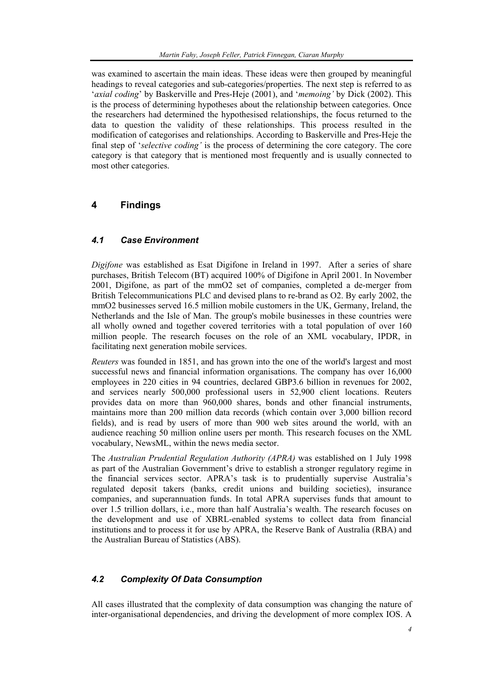was examined to ascertain the main ideas. These ideas were then grouped by meaningful headings to reveal categories and sub-categories/properties. The next step is referred to as '*axial coding*' by Baskerville and Pres-Heje (2001), and '*memoing'* by Dick (2002). This is the process of determining hypotheses about the relationship between categories. Once the researchers had determined the hypothesised relationships, the focus returned to the data to question the validity of these relationships. This process resulted in the modification of categorises and relationships. According to Baskerville and Pres-Heje the final step of '*selective coding'* is the process of determining the core category. The core category is that category that is mentioned most frequently and is usually connected to most other categories.

# **4 Findings**

# *4.1 Case Environment*

*Digifone* was established as Esat Digifone in Ireland in 1997. After a series of share purchases, British Telecom (BT) acquired 100% of Digifone in April 2001. In November 2001, Digifone, as part of the mmO2 set of companies, completed a de-merger from British Telecommunications PLC and devised plans to re-brand as O2. By early 2002, the mmO2 businesses served 16.5 million mobile customers in the UK, Germany, Ireland, the Netherlands and the Isle of Man. The group's mobile businesses in these countries were all wholly owned and together covered territories with a total population of over 160 million people. The research focuses on the role of an XML vocabulary, IPDR, in facilitating next generation mobile services.

*Reuters* was founded in 1851, and has grown into the one of the world's largest and most successful news and financial information organisations. The company has over 16,000 employees in 220 cities in 94 countries, declared GBP3.6 billion in revenues for 2002, and services nearly 500,000 professional users in 52,900 client locations. Reuters provides data on more than 960,000 shares, bonds and other financial instruments, maintains more than 200 million data records (which contain over 3,000 billion record fields), and is read by users of more than 900 web sites around the world, with an audience reaching 50 million online users per month. This research focuses on the XML vocabulary, NewsML, within the news media sector.

The *Australian Prudential Regulation Authority (APRA)* was established on 1 July 1998 as part of the Australian Government's drive to establish a stronger regulatory regime in the financial services sector. APRA's task is to prudentially supervise Australia's regulated deposit takers (banks, credit unions and building societies), insurance companies, and superannuation funds. In total APRA supervises funds that amount to over 1.5 trillion dollars, i.e., more than half Australia's wealth. The research focuses on the development and use of XBRL-enabled systems to collect data from financial institutions and to process it for use by APRA, the Reserve Bank of Australia (RBA) and the Australian Bureau of Statistics (ABS).

# *4.2 Complexity Of Data Consumption*

All cases illustrated that the complexity of data consumption was changing the nature of inter-organisational dependencies, and driving the development of more complex IOS. A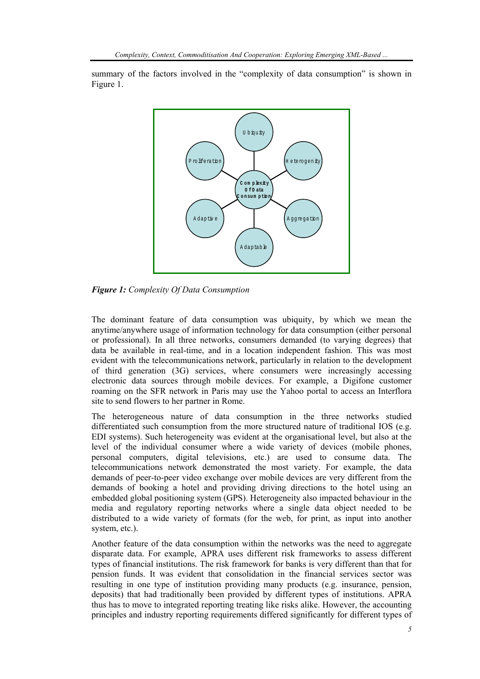summary of the factors involved in the "complexity of data consumption" is shown in Figure 1.



*Figure 1: Complexity Of Data Consumption* 

The dominant feature of data consumption was ubiquity, by which we mean the anytime/anywhere usage of information technology for data consumption (either personal or professional). In all three networks, consumers demanded (to varying degrees) that data be available in real-time, and in a location independent fashion. This was most evident with the telecommunications network, particularly in relation to the development of third generation (3G) services, where consumers were increasingly accessing electronic data sources through mobile devices. For example, a Digifone customer roaming on the SFR network in Paris may use the Yahoo portal to access an Interflora site to send flowers to her partner in Rome.

The heterogeneous nature of data consumption in the three networks studied differentiated such consumption from the more structured nature of traditional IOS (e.g. EDI systems). Such heterogeneity was evident at the organisational level, but also at the level of the individual consumer where a wide variety of devices (mobile phones, personal computers, digital televisions, etc.) are used to consume data. The telecommunications network demonstrated the most variety. For example, the data demands of peer-to-peer video exchange over mobile devices are very different from the demands of booking a hotel and providing driving directions to the hotel using an embedded global positioning system (GPS). Heterogeneity also impacted behaviour in the media and regulatory reporting networks where a single data object needed to be distributed to a wide variety of formats (for the web, for print, as input into another system, etc.).

Another feature of the data consumption within the networks was the need to aggregate disparate data. For example, APRA uses different risk frameworks to assess different types of financial institutions. The risk framework for banks is very different than that for pension funds. It was evident that consolidation in the financial services sector was resulting in one type of institution providing many products (e.g. insurance, pension, deposits) that had traditionally been provided by different types of institutions. APRA thus has to move to integrated reporting treating like risks alike. However, the accounting principles and industry reporting requirements differed significantly for different types of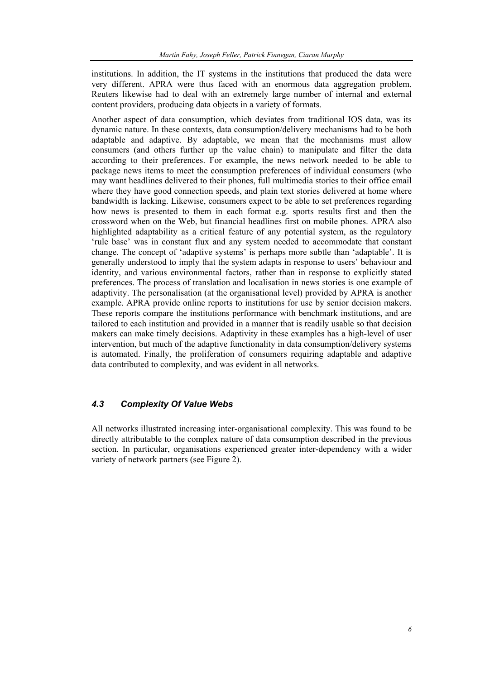institutions. In addition, the IT systems in the institutions that produced the data were very different. APRA were thus faced with an enormous data aggregation problem. Reuters likewise had to deal with an extremely large number of internal and external content providers, producing data objects in a variety of formats.

Another aspect of data consumption, which deviates from traditional IOS data, was its dynamic nature. In these contexts, data consumption/delivery mechanisms had to be both adaptable and adaptive. By adaptable, we mean that the mechanisms must allow consumers (and others further up the value chain) to manipulate and filter the data according to their preferences. For example, the news network needed to be able to package news items to meet the consumption preferences of individual consumers (who may want headlines delivered to their phones, full multimedia stories to their office email where they have good connection speeds, and plain text stories delivered at home where bandwidth is lacking. Likewise, consumers expect to be able to set preferences regarding how news is presented to them in each format e.g. sports results first and then the crossword when on the Web, but financial headlines first on mobile phones. APRA also highlighted adaptability as a critical feature of any potential system, as the regulatory 'rule base' was in constant flux and any system needed to accommodate that constant change. The concept of 'adaptive systems' is perhaps more subtle than 'adaptable'. It is generally understood to imply that the system adapts in response to users' behaviour and identity, and various environmental factors, rather than in response to explicitly stated preferences. The process of translation and localisation in news stories is one example of adaptivity. The personalisation (at the organisational level) provided by APRA is another example. APRA provide online reports to institutions for use by senior decision makers. These reports compare the institutions performance with benchmark institutions, and are tailored to each institution and provided in a manner that is readily usable so that decision makers can make timely decisions. Adaptivity in these examples has a high-level of user intervention, but much of the adaptive functionality in data consumption/delivery systems is automated. Finally, the proliferation of consumers requiring adaptable and adaptive data contributed to complexity, and was evident in all networks.

# *4.3 Complexity Of Value Webs*

All networks illustrated increasing inter-organisational complexity. This was found to be directly attributable to the complex nature of data consumption described in the previous section. In particular, organisations experienced greater inter-dependency with a wider variety of network partners (see Figure 2).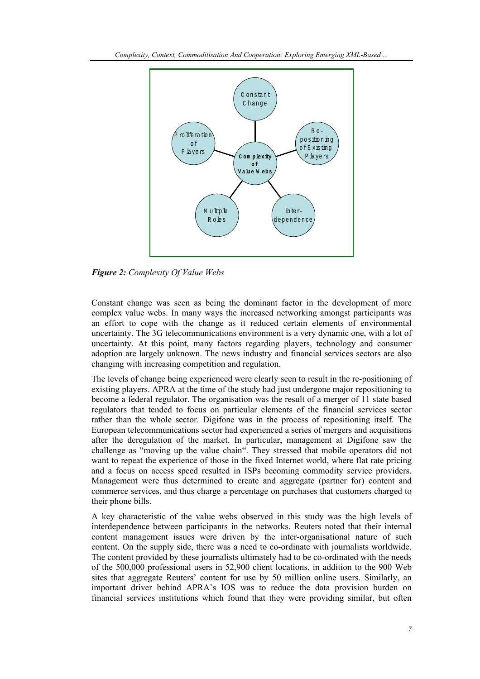

*Figure 2: Complexity Of Value Webs* 

Constant change was seen as being the dominant factor in the development of more complex value webs. In many ways the increased networking amongst participants was an effort to cope with the change as it reduced certain elements of environmental uncertainty. The 3G telecommunications environment is a very dynamic one, with a lot of uncertainty. At this point, many factors regarding players, technology and consumer adoption are largely unknown. The news industry and financial services sectors are also changing with increasing competition and regulation.

The levels of change being experienced were clearly seen to result in the re-positioning of existing players. APRA at the time of the study had just undergone major repositioning to become a federal regulator. The organisation was the result of a merger of 11 state based regulators that tended to focus on particular elements of the financial services sector rather than the whole sector. Digifone was in the process of repositioning itself. The European telecommunications sector had experienced a series of mergers and acquisitions after the deregulation of the market. In particular, management at Digifone saw the challenge as "moving up the value chain". They stressed that mobile operators did not want to repeat the experience of those in the fixed Internet world, where flat rate pricing and a focus on access speed resulted in ISPs becoming commodity service providers. Management were thus determined to create and aggregate (partner for) content and commerce services, and thus charge a percentage on purchases that customers charged to their phone bills.

A key characteristic of the value webs observed in this study was the high levels of interdependence between participants in the networks. Reuters noted that their internal content management issues were driven by the inter-organisational nature of such content. On the supply side, there was a need to co-ordinate with journalists worldwide. The content provided by these journalists ultimately had to be co-ordinated with the needs of the 500,000 professional users in 52,900 client locations, in addition to the 900 Web sites that aggregate Reuters' content for use by 50 million online users. Similarly, an important driver behind APRA's IOS was to reduce the data provision burden on financial services institutions which found that they were providing similar, but often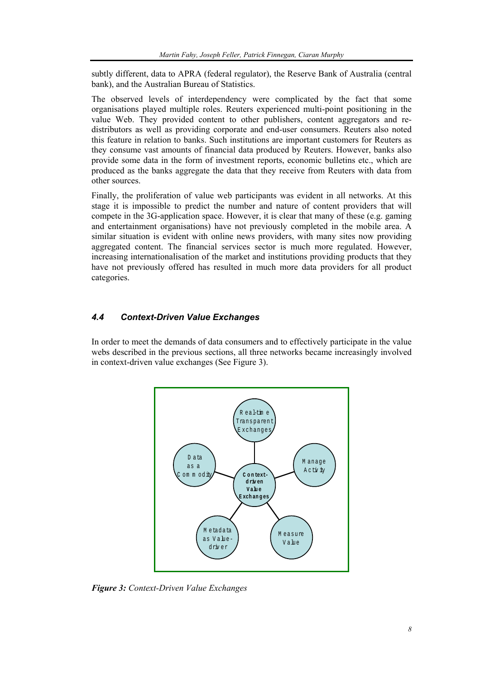subtly different, data to APRA (federal regulator), the Reserve Bank of Australia (central bank), and the Australian Bureau of Statistics.

The observed levels of interdependency were complicated by the fact that some organisations played multiple roles. Reuters experienced multi-point positioning in the value Web. They provided content to other publishers, content aggregators and redistributors as well as providing corporate and end-user consumers. Reuters also noted this feature in relation to banks. Such institutions are important customers for Reuters as they consume vast amounts of financial data produced by Reuters. However, banks also provide some data in the form of investment reports, economic bulletins etc., which are produced as the banks aggregate the data that they receive from Reuters with data from other sources.

Finally, the proliferation of value web participants was evident in all networks. At this stage it is impossible to predict the number and nature of content providers that will compete in the 3G-application space. However, it is clear that many of these (e.g. gaming and entertainment organisations) have not previously completed in the mobile area. A similar situation is evident with online news providers, with many sites now providing aggregated content. The financial services sector is much more regulated. However, increasing internationalisation of the market and institutions providing products that they have not previously offered has resulted in much more data providers for all product categories.

## *4.4 Context-Driven Value Exchanges*

In order to meet the demands of data consumers and to effectively participate in the value webs described in the previous sections, all three networks became increasingly involved in context-driven value exchanges (See Figure 3).



*Figure 3: Context-Driven Value Exchanges*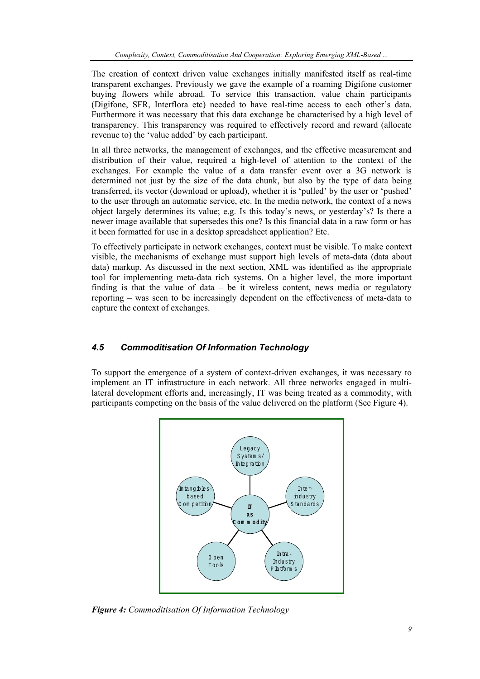The creation of context driven value exchanges initially manifested itself as real-time transparent exchanges. Previously we gave the example of a roaming Digifone customer buying flowers while abroad. To service this transaction, value chain participants (Digifone, SFR, Interflora etc) needed to have real-time access to each other's data. Furthermore it was necessary that this data exchange be characterised by a high level of transparency. This transparency was required to effectively record and reward (allocate revenue to) the 'value added' by each participant.

In all three networks, the management of exchanges, and the effective measurement and distribution of their value, required a high-level of attention to the context of the exchanges. For example the value of a data transfer event over a 3G network is determined not just by the size of the data chunk, but also by the type of data being transferred, its vector (download or upload), whether it is 'pulled' by the user or 'pushed' to the user through an automatic service, etc. In the media network, the context of a news object largely determines its value; e.g. Is this today's news, or yesterday's? Is there a newer image available that supersedes this one? Is this financial data in a raw form or has it been formatted for use in a desktop spreadsheet application? Etc.

To effectively participate in network exchanges, context must be visible. To make context visible, the mechanisms of exchange must support high levels of meta-data (data about data) markup. As discussed in the next section, XML was identified as the appropriate tool for implementing meta-data rich systems. On a higher level, the more important finding is that the value of data – be it wireless content, news media or regulatory reporting – was seen to be increasingly dependent on the effectiveness of meta-data to capture the context of exchanges.

# *4.5 Commoditisation Of Information Technology*

To support the emergence of a system of context-driven exchanges, it was necessary to implement an IT infrastructure in each network. All three networks engaged in multilateral development efforts and, increasingly, IT was being treated as a commodity, with participants competing on the basis of the value delivered on the platform (See Figure 4).



*Figure 4: Commoditisation Of Information Technology*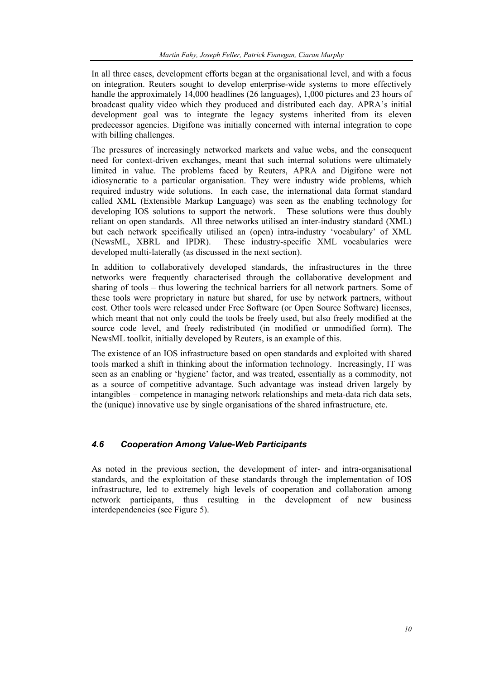In all three cases, development efforts began at the organisational level, and with a focus on integration. Reuters sought to develop enterprise-wide systems to more effectively handle the approximately 14,000 headlines (26 languages), 1,000 pictures and 23 hours of broadcast quality video which they produced and distributed each day. APRA's initial development goal was to integrate the legacy systems inherited from its eleven predecessor agencies. Digifone was initially concerned with internal integration to cope with billing challenges.

The pressures of increasingly networked markets and value webs, and the consequent need for context-driven exchanges, meant that such internal solutions were ultimately limited in value. The problems faced by Reuters, APRA and Digifone were not idiosyncratic to a particular organisation. They were industry wide problems, which required industry wide solutions. In each case, the international data format standard called XML (Extensible Markup Language) was seen as the enabling technology for developing IOS solutions to support the network. These solutions were thus doubly reliant on open standards. All three networks utilised an inter-industry standard (XML) but each network specifically utilised an (open) intra-industry 'vocabulary' of XML (NewsML, XBRL and IPDR). These industry-specific XML vocabularies were developed multi-laterally (as discussed in the next section).

In addition to collaboratively developed standards, the infrastructures in the three networks were frequently characterised through the collaborative development and sharing of tools – thus lowering the technical barriers for all network partners. Some of these tools were proprietary in nature but shared, for use by network partners, without cost. Other tools were released under Free Software (or Open Source Software) licenses, which meant that not only could the tools be freely used, but also freely modified at the source code level, and freely redistributed (in modified or unmodified form). The NewsML toolkit, initially developed by Reuters, is an example of this.

The existence of an IOS infrastructure based on open standards and exploited with shared tools marked a shift in thinking about the information technology. Increasingly, IT was seen as an enabling or 'hygiene' factor, and was treated, essentially as a commodity, not as a source of competitive advantage. Such advantage was instead driven largely by intangibles – competence in managing network relationships and meta-data rich data sets, the (unique) innovative use by single organisations of the shared infrastructure, etc.

## *4.6 Cooperation Among Value-Web Participants*

As noted in the previous section, the development of inter- and intra-organisational standards, and the exploitation of these standards through the implementation of IOS infrastructure, led to extremely high levels of cooperation and collaboration among network participants, thus resulting in the development of new business interdependencies (see Figure 5).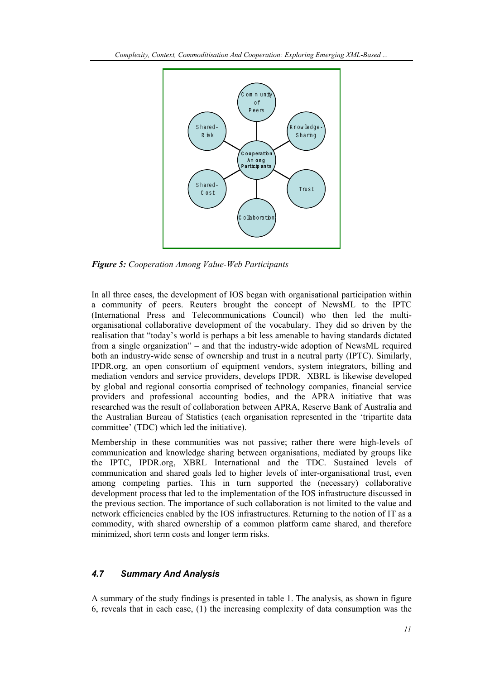

*Figure 5: Cooperation Among Value-Web Participants* 

In all three cases, the development of IOS began with organisational participation within a community of peers. Reuters brought the concept of NewsML to the IPTC (International Press and Telecommunications Council) who then led the multiorganisational collaborative development of the vocabulary. They did so driven by the realisation that "today's world is perhaps a bit less amenable to having standards dictated from a single organization" – and that the industry-wide adoption of NewsML required both an industry-wide sense of ownership and trust in a neutral party (IPTC). Similarly, IPDR.org, an open consortium of equipment vendors, system integrators, billing and mediation vendors and service providers, develops IPDR. XBRL is likewise developed by global and regional consortia comprised of technology companies, financial service providers and professional accounting bodies, and the APRA initiative that was researched was the result of collaboration between APRA, Reserve Bank of Australia and the Australian Bureau of Statistics (each organisation represented in the 'tripartite data committee' (TDC) which led the initiative).

Membership in these communities was not passive; rather there were high-levels of communication and knowledge sharing between organisations, mediated by groups like the IPTC, IPDR.org, XBRL International and the TDC. Sustained levels of communication and shared goals led to higher levels of inter-organisational trust, even among competing parties. This in turn supported the (necessary) collaborative development process that led to the implementation of the IOS infrastructure discussed in the previous section. The importance of such collaboration is not limited to the value and network efficiencies enabled by the IOS infrastructures. Returning to the notion of IT as a commodity, with shared ownership of a common platform came shared, and therefore minimized, short term costs and longer term risks.

## *4.7 Summary And Analysis*

A summary of the study findings is presented in table 1. The analysis, as shown in figure 6, reveals that in each case, (1) the increasing complexity of data consumption was the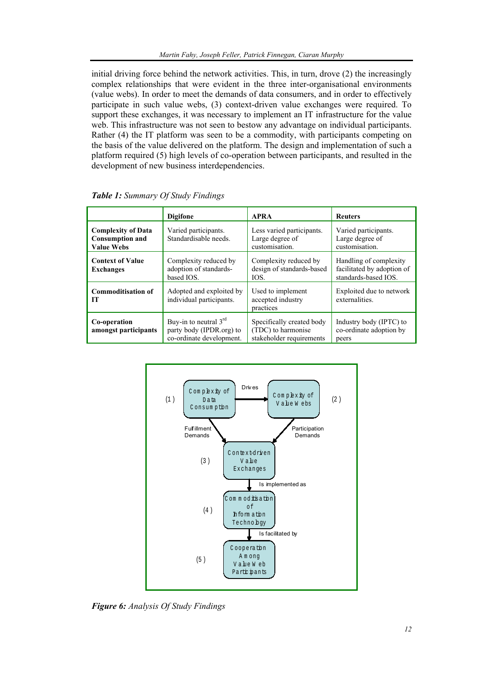initial driving force behind the network activities. This, in turn, drove (2) the increasingly complex relationships that were evident in the three inter-organisational environments (value webs). In order to meet the demands of data consumers, and in order to effectively participate in such value webs, (3) context-driven value exchanges were required. To support these exchanges, it was necessary to implement an IT infrastructure for the value web. This infrastructure was not seen to bestow any advantage on individual participants. Rather (4) the IT platform was seen to be a commodity, with participants competing on the basis of the value delivered on the platform. The design and implementation of such a platform required (5) high levels of co-operation between participants, and resulted in the development of new business interdependencies.

|                                                                          | <b>Digifone</b>                                                                 | <b>APRA</b>                                                                 | <b>Reuters</b>                                                               |
|--------------------------------------------------------------------------|---------------------------------------------------------------------------------|-----------------------------------------------------------------------------|------------------------------------------------------------------------------|
| <b>Complexity of Data</b><br><b>Consumption and</b><br><b>Value Webs</b> | Varied participants.<br>Standardisable needs.                                   | Less varied participants.<br>Large degree of<br>customisation.              | Varied participants.<br>Large degree of<br>customisation.                    |
| <b>Context of Value</b><br><b>Exchanges</b>                              | Complexity reduced by<br>adoption of standards-<br>based IOS.                   | Complexity reduced by<br>design of standards-based<br>IOS.                  | Handling of complexity<br>facilitated by adoption of<br>standards-based IOS. |
| <b>Commoditisation of</b><br>IТ                                          | Adopted and exploited by<br>individual participants.                            | Used to implement<br>accepted industry<br>practices                         | Exploited due to network<br>externalities.                                   |
| Co-operation<br>amongst participants                                     | Buy-in to neutral $3rd$<br>party body (IPDR.org) to<br>co-ordinate development. | Specifically created body<br>(TDC) to harmonise<br>stakeholder requirements | Industry body (IPTC) to<br>co-ordinate adoption by<br>peers                  |

*Table 1: Summary Of Study Findings* 



*Figure 6: Analysis Of Study Findings*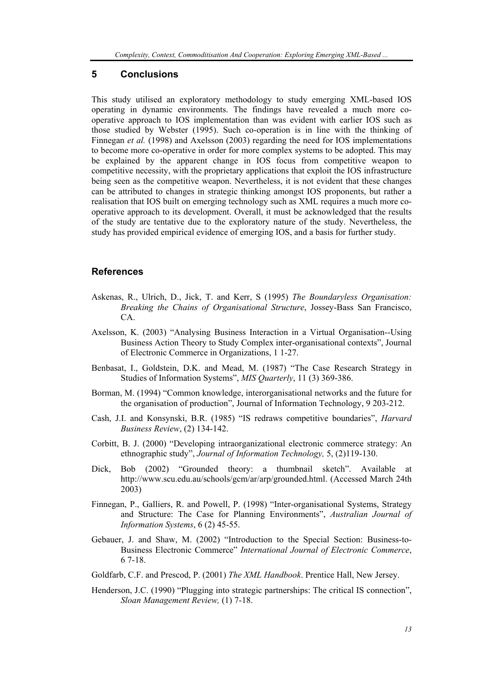## **5 Conclusions**

This study utilised an exploratory methodology to study emerging XML-based IOS operating in dynamic environments. The findings have revealed a much more cooperative approach to IOS implementation than was evident with earlier IOS such as those studied by Webster (1995). Such co-operation is in line with the thinking of Finnegan *et al.* (1998) and Axelsson (2003) regarding the need for IOS implementations to become more co-operative in order for more complex systems to be adopted. This may be explained by the apparent change in IOS focus from competitive weapon to competitive necessity, with the proprietary applications that exploit the IOS infrastructure being seen as the competitive weapon. Nevertheless, it is not evident that these changes can be attributed to changes in strategic thinking amongst IOS proponents, but rather a realisation that IOS built on emerging technology such as XML requires a much more cooperative approach to its development. Overall, it must be acknowledged that the results of the study are tentative due to the exploratory nature of the study. Nevertheless, the study has provided empirical evidence of emerging IOS, and a basis for further study.

## **References**

- Askenas, R., Ulrich, D., Jick, T. and Kerr, S (1995) *The Boundaryless Organisation: Breaking the Chains of Organisational Structure*, Jossey-Bass San Francisco, CA.
- Axelsson, K. (2003) "Analysing Business Interaction in a Virtual Organisation--Using Business Action Theory to Study Complex inter-organisational contexts", Journal of Electronic Commerce in Organizations, 1 1-27.
- Benbasat, I., Goldstein, D.K. and Mead, M. (1987) "The Case Research Strategy in Studies of Information Systems", *MIS Quarterly*, 11 (3) 369-386.
- Borman, M. (1994) "Common knowledge, interorganisational networks and the future for the organisation of production", Journal of Information Technology, 9 203-212.
- Cash, J.I. and Konsynski, B.R. (1985) "IS redraws competitive boundaries", *Harvard Business Review*, (2) 134-142.
- Corbitt, B. J. (2000) "Developing intraorganizational electronic commerce strategy: An ethnographic study", *Journal of Information Technology,* 5, (2)119-130.
- Dick, Bob (2002) "Grounded theory: a thumbnail sketch". Available at http://www.scu.edu.au/schools/gcm/ar/arp/grounded.html. (Accessed March 24th 2003)
- Finnegan, P., Galliers, R. and Powell, P. (1998) "Inter-organisational Systems, Strategy and Structure: The Case for Planning Environments", *Australian Journal of Information Systems*, 6 (2) 45-55.
- Gebauer, J. and Shaw, M. (2002) "Introduction to the Special Section: Business-to-Business Electronic Commerce" *International Journal of Electronic Commerce*, 6 7-18.
- Goldfarb, C.F. and Prescod, P. (2001) *The XML Handbook*. Prentice Hall, New Jersey.
- Henderson, J.C. (1990) "Plugging into strategic partnerships: The critical IS connection", *Sloan Management Review,* (1) 7-18.